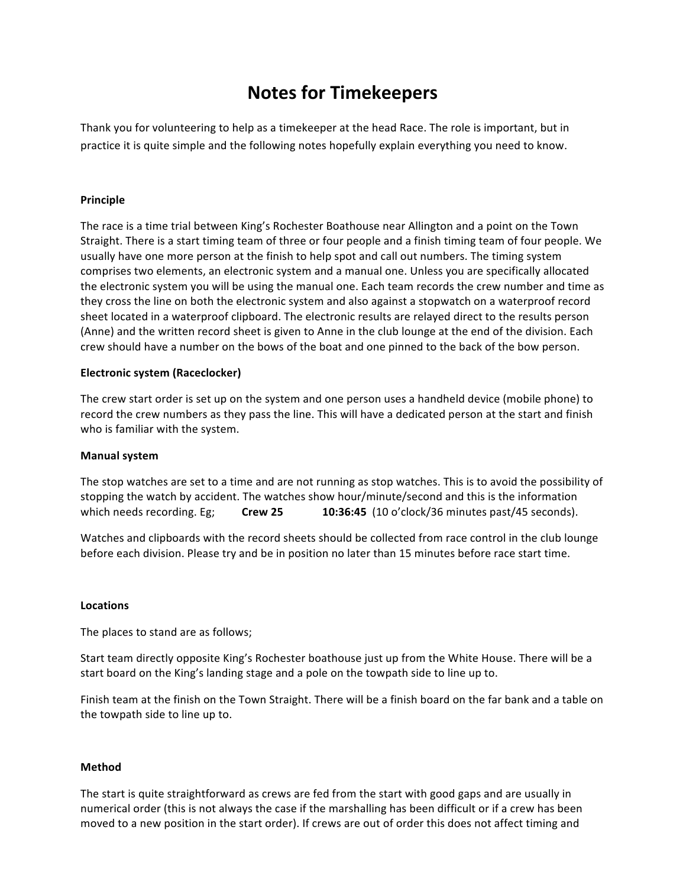# **Notes for Timekeepers**

Thank you for volunteering to help as a timekeeper at the head Race. The role is important, but in practice it is quite simple and the following notes hopefully explain everything you need to know.

## **Principle**

The race is a time trial between King's Rochester Boathouse near Allington and a point on the Town Straight. There is a start timing team of three or four people and a finish timing team of four people. We usually have one more person at the finish to help spot and call out numbers. The timing system comprises two elements, an electronic system and a manual one. Unless you are specifically allocated the electronic system you will be using the manual one. Each team records the crew number and time as they cross the line on both the electronic system and also against a stopwatch on a waterproof record sheet located in a waterproof clipboard. The electronic results are relayed direct to the results person (Anne) and the written record sheet is given to Anne in the club lounge at the end of the division. Each crew should have a number on the bows of the boat and one pinned to the back of the bow person.

### **Electronic system (Raceclocker)**

The crew start order is set up on the system and one person uses a handheld device (mobile phone) to record the crew numbers as they pass the line. This will have a dedicated person at the start and finish who is familiar with the system.

#### **Manual system**

The stop watches are set to a time and are not running as stop watches. This is to avoid the possibility of stopping the watch by accident. The watches show hour/minute/second and this is the information which needs recording. Eg; **Crew 25 10:36:45** (10 o'clock/36 minutes past/45 seconds).

Watches and clipboards with the record sheets should be collected from race control in the club lounge before each division. Please try and be in position no later than 15 minutes before race start time.

#### **Locations**

The places to stand are as follows;

Start team directly opposite King's Rochester boathouse just up from the White House. There will be a start board on the King's landing stage and a pole on the towpath side to line up to.

Finish team at the finish on the Town Straight. There will be a finish board on the far bank and a table on the towpath side to line up to.

#### **Method**

The start is quite straightforward as crews are fed from the start with good gaps and are usually in numerical order (this is not always the case if the marshalling has been difficult or if a crew has been moved to a new position in the start order). If crews are out of order this does not affect timing and